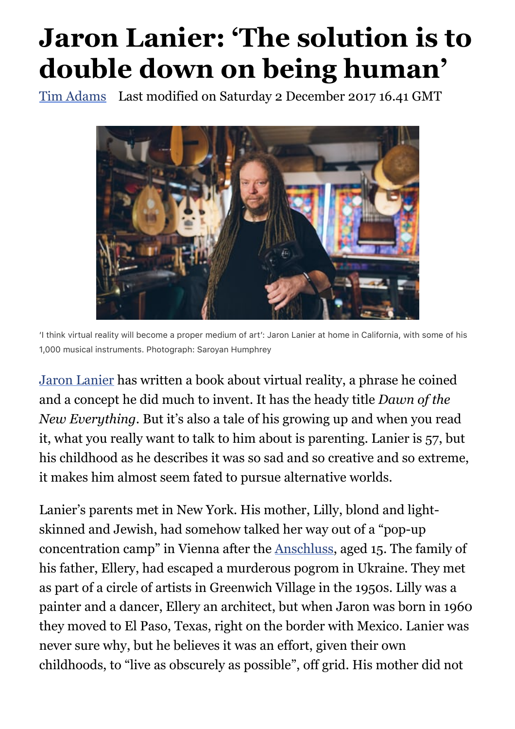## **Jaron Lanier: 'The solution is to double down on being human'**

[Tim Adams](https://www.theguardian.com/profile/timadams) Last modified on Saturday 2 December 2017 16.41 GMT



'I think virtual reality will become a proper medium of art': Jaron Lanier at home in California, with some of his 1,000 musical instruments. Photograph: Saroyan Humphrey

[Jaron Lanier](https://www.theguardian.com/technology/jaron-lanier) has written a book about virtual reality, a phrase he coined and a concept he did much to invent. It has the heady title *Dawn of the New Everything*. But it's also a tale of his growing up and when you read it, what you really want to talk to him about is parenting. Lanier is 57, but his childhood as he describes it was so sad and so creative and so extreme, it makes him almost seem fated to pursue alternative worlds.

Lanier's parents met in New York. His mother, Lilly, blond and lightskinned and Jewish, had somehow talked her way out of a "pop-up concentration camp" in Vienna after the [Anschluss](https://www.britannica.com/event/Anschluss), aged 15. The family of his father, Ellery, had escaped a murderous pogrom in Ukraine. They met as part of a circle of artists in Greenwich Village in the 1950s. Lilly was a painter and a dancer, Ellery an architect, but when Jaron was born in 1960 they moved to El Paso, Texas, right on the border with Mexico. Lanier was never sure why, but he believes it was an effort, given their own childhoods, to "live as obscurely as possible", off grid. His mother did not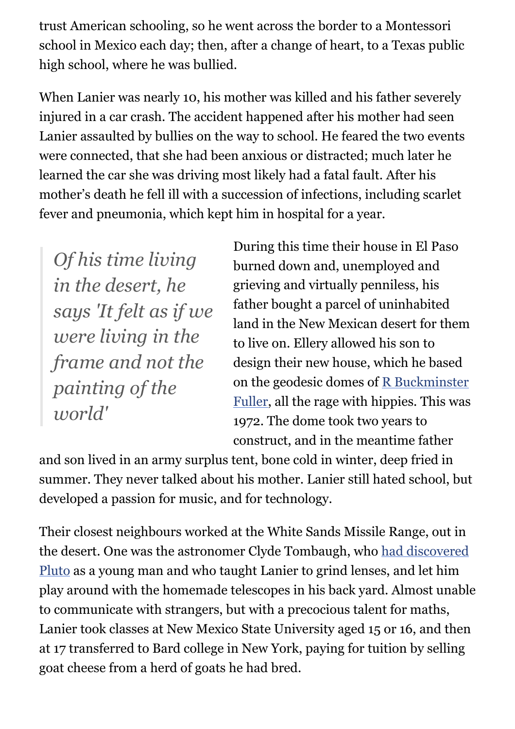trust American schooling, so he went across the border to a Montessori school in Mexico each day; then, after a change of heart, to a Texas public high school, where he was bullied.

When Lanier was nearly 10, his mother was killed and his father severely injured in a car crash. The accident happened after his mother had seen Lanier assaulted by bullies on the way to school. He feared the two events were connected, that she had been anxious or distracted; much later he learned the car she was driving most likely had a fatal fault. After his mother's death he fell ill with a succession of infections, including scarlet fever and pneumonia, which kept him in hospital for a year.

*Of his time living in the desert, he says 'It felt as if we were living in the frame and not the painting of the world'*

During this time their house in El Paso burned down and, unemployed and grieving and virtually penniless, his father bought a parcel of uninhabited land in the New Mexican desert for them to live on. Ellery allowed his son to design their new house, which he based on the geodesic domes of R Buckminster [Fuller, all the rage with hippies. This was](https://www.bfi.org/about-fuller/big-ideas/geodesic-domes) 1972. The dome took two years to construct, and in the meantime father

and son lived in an army surplus tent, bone cold in winter, deep fried in summer. They never talked about his mother. Lanier still hated school, but developed a passion for music, and for technology.

Their closest neighbours worked at the White Sands Missile Range, out in [the desert. One was the astronomer Clyde Tombaugh, who had discovered](https://www.theguardian.com/science/2016/may/01/2006-space-oddity-pluto-debate-row) Pluto as a young man and who taught Lanier to grind lenses, and let him play around with the homemade telescopes in his back yard. Almost unable to communicate with strangers, but with a precocious talent for maths, Lanier took classes at New Mexico State University aged 15 or 16, and then at 17 transferred to Bard college in New York, paying for tuition by selling goat cheese from a herd of goats he had bred.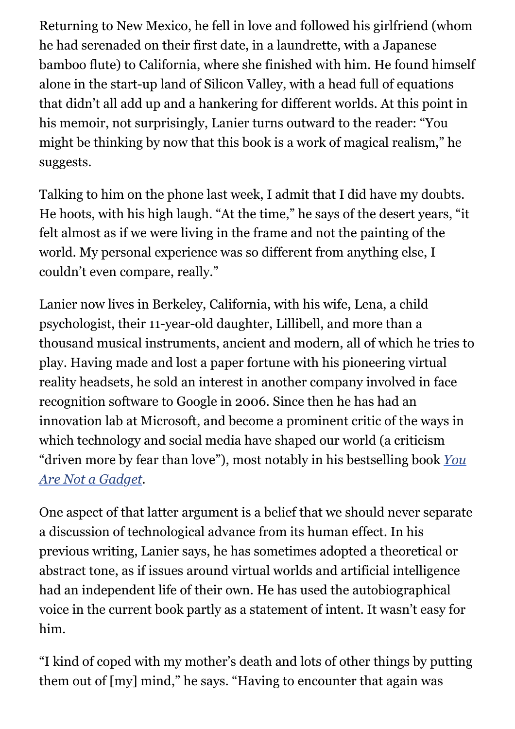Returning to New Mexico, he fell in love and followed his girlfriend (whom he had serenaded on their first date, in a laundrette, with a Japanese bamboo flute) to California, where she finished with him. He found himself alone in the start-up land of Silicon Valley, with a head full of equations that didn't all add up and a hankering for different worlds. At this point in his memoir, not surprisingly, Lanier turns outward to the reader: "You might be thinking by now that this book is a work of magical realism," he suggests.

Talking to him on the phone last week, I admit that I did have my doubts. He hoots, with his high laugh. "At the time," he says of the desert years, "it felt almost as if we were living in the frame and not the painting of the world. My personal experience was so different from anything else, I couldn't even compare, really."

Lanier now lives in Berkeley, California, with his wife, Lena, a child psychologist, their 11-year-old daughter, Lillibell, and more than a thousand musical instruments, ancient and modern, all of which he tries to play. Having made and lost a paper fortune with his pioneering virtual reality headsets, he sold an interest in another company involved in face recognition software to Google in 2006. Since then he has had an innovation lab at Microsoft, and become a prominent critic of the ways in which technology and social media have shaped our world (a criticism ["driven more by fear than love"\), most notably in his bestselling book](https://www.theguardian.com/books/2011/feb/20/jaron-lanier-you-are-not-a-gadget-review) *You Are Not a Gadget*.

One aspect of that latter argument is a belief that we should never separate a discussion of technological advance from its human effect. In his previous writing, Lanier says, he has sometimes adopted a theoretical or abstract tone, as if issues around virtual worlds and artificial intelligence had an independent life of their own. He has used the autobiographical voice in the current book partly as a statement of intent. It wasn't easy for him.

"I kind of coped with my mother's death and lots of other things by putting them out of [my] mind," he says. "Having to encounter that again was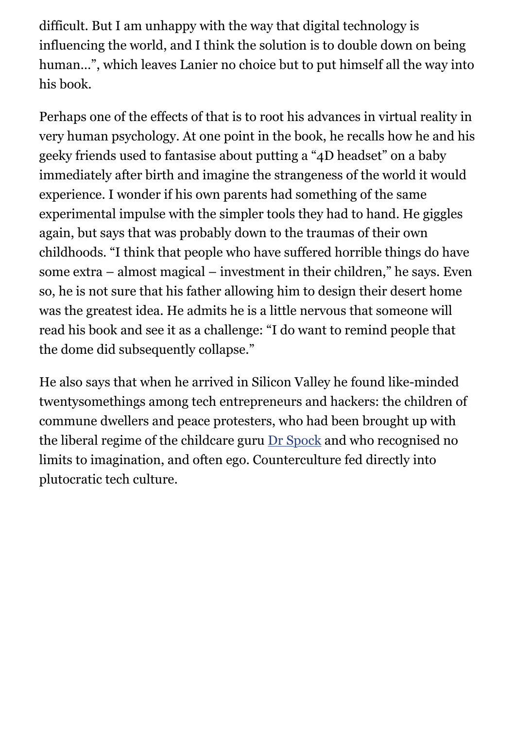difficult. But I am unhappy with the way that digital technology is influencing the world, and I think the solution is to double down on being human…", which leaves Lanier no choice but to put himself all the way into his book.

Perhaps one of the effects of that is to root his advances in virtual reality in very human psychology. At one point in the book, he recalls how he and his geeky friends used to fantasise about putting a "4D headset" on a baby immediately after birth and imagine the strangeness of the world it would experience. I wonder if his own parents had something of the same experimental impulse with the simpler tools they had to hand. He giggles again, but says that was probably down to the traumas of their own childhoods. "I think that people who have suffered horrible things do have some extra – almost magical – investment in their children," he says. Even so, he is not sure that his father allowing him to design their desert home was the greatest idea. He admits he is a little nervous that someone will read his book and see it as a challenge: "I do want to remind people that the dome did subsequently collapse."

He also says that when he arrived in Silicon Valley he found like-minded twentysomethings among tech entrepreneurs and hackers: the children of commune dwellers and peace protesters, who had been brought up with the liberal regime of the childcare guru [Dr Spock](https://www.theguardian.com/lifeandstyle/2017/jun/23/dr-benjamin-spock-baby-and-child-care-1962) and who recognised no limits to imagination, and often ego. Counterculture fed directly into plutocratic tech culture.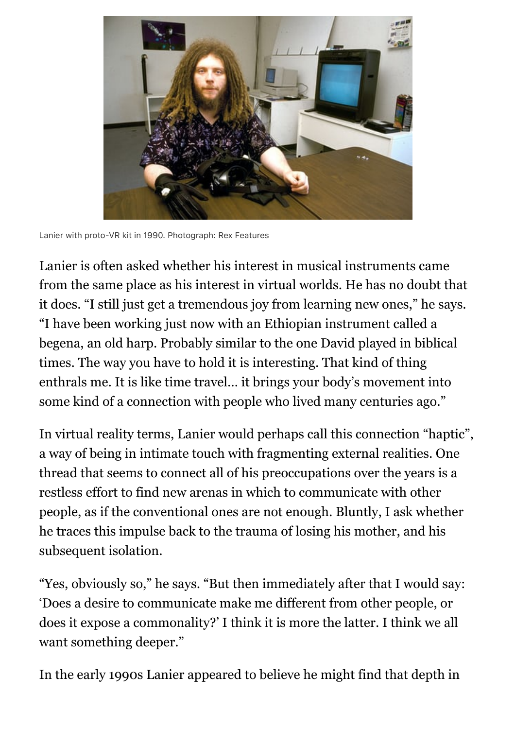

Lanier with proto-VR kit in 1990. Photograph: Rex Features

Lanier is often asked whether his interest in musical instruments came from the same place as his interest in virtual worlds. He has no doubt that it does. "I still just get a tremendous joy from learning new ones," he says. "I have been working just now with an Ethiopian instrument called a begena, an old harp. Probably similar to the one David played in biblical times. The way you have to hold it is interesting. That kind of thing enthrals me. It is like time travel… it brings your body's movement into some kind of a connection with people who lived many centuries ago."

In virtual reality terms, Lanier would perhaps call this connection "haptic", a way of being in intimate touch with fragmenting external realities. One thread that seems to connect all of his preoccupations over the years is a restless effort to find new arenas in which to communicate with other people, as if the conventional ones are not enough. Bluntly, I ask whether he traces this impulse back to the trauma of losing his mother, and his subsequent isolation.

"Yes, obviously so," he says. "But then immediately after that I would say: 'Does a desire to communicate make me different from other people, or does it expose a commonality?' I think it is more the latter. I think we all want something deeper."

In the early 1990s Lanier appeared to believe he might find that depth in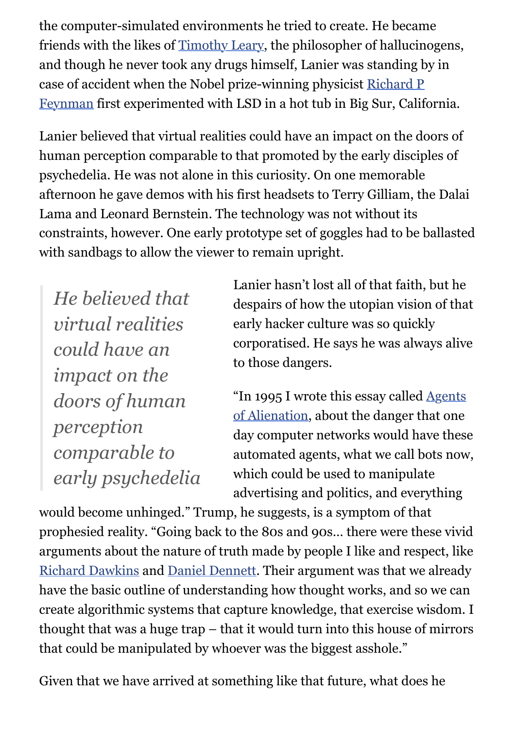the computer-simulated environments he tried to create. He became friends with the likes of [Timothy Leary,](https://en.wikipedia.org/wiki/Timothy_Leary) the philosopher of hallucinogens, and though he never took any drugs himself, Lanier was standing by in [case of accident when the Nobel prize-winning physicist Richard P](https://www.nobelprize.org/nobel_prizes/physics/laureates/1965/feynman-bio.html) Feynman first experimented with LSD in a hot tub in Big Sur, California.

Lanier believed that virtual realities could have an impact on the doors of human perception comparable to that promoted by the early disciples of psychedelia. He was not alone in this curiosity. On one memorable afternoon he gave demos with his first headsets to Terry Gilliam, the Dalai Lama and Leonard Bernstein. The technology was not without its constraints, however. One early prototype set of goggles had to be ballasted with sandbags to allow the viewer to remain upright.

*He believed that virtual realities could have an impact on the doors of human perception comparable to early psychedelia*

Lanier hasn't lost all of that faith, but he despairs of how the utopian vision of that early hacker culture was so quickly corporatised. He says he was always alive to those dangers.

["In 1995 I wrote this essay called Agents](http://www.jaronlanier.com/agentalien.html) of Alienation, about the danger that one day computer networks would have these automated agents, what we call bots now, which could be used to manipulate advertising and politics, and everything

would become unhinged." Trump, he suggests, is a symptom of that prophesied reality. "Going back to the 80s and 90s… there were these vivid arguments about the nature of truth made by people I like and respect, like [Richard Dawkins](https://www.theguardian.com/profile/richard-dawkins) and [Daniel Dennett](https://www.theguardian.com/science/dennett). Their argument was that we already have the basic outline of understanding how thought works, and so we can create algorithmic systems that capture knowledge, that exercise wisdom. I thought that was a huge trap – that it would turn into this house of mirrors that could be manipulated by whoever was the biggest asshole."

Given that we have arrived at something like that future, what does he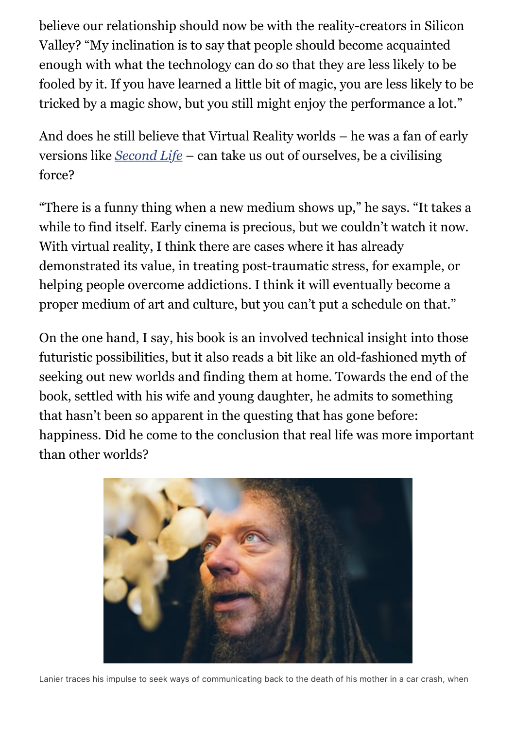believe our relationship should now be with the reality-creators in Silicon Valley? "My inclination is to say that people should become acquainted enough with what the technology can do so that they are less likely to be fooled by it. If you have learned a little bit of magic, you are less likely to be tricked by a magic show, but you still might enjoy the performance a lot."

And does he still believe that Virtual Reality worlds – he was a fan of early versions like *[Second Life](https://www.theguardian.com/education/2008/nov/11/highereducation-secondlife)* – can take us out of ourselves, be a civilising force?

"There is a funny thing when a new medium shows up," he says. "It takes a while to find itself. Early cinema is precious, but we couldn't watch it now. With virtual reality, I think there are cases where it has already demonstrated its value, in treating post-traumatic stress, for example, or helping people overcome addictions. I think it will eventually become a proper medium of art and culture, but you can't put a schedule on that."

On the one hand, I say, his book is an involved technical insight into those futuristic possibilities, but it also reads a bit like an old-fashioned myth of seeking out new worlds and finding them at home. Towards the end of the book, settled with his wife and young daughter, he admits to something that hasn't been so apparent in the questing that has gone before: happiness. Did he come to the conclusion that real life was more important than other worlds?



Lanier traces his impulse to seek ways of communicating back to the death of his mother in a car crash, when